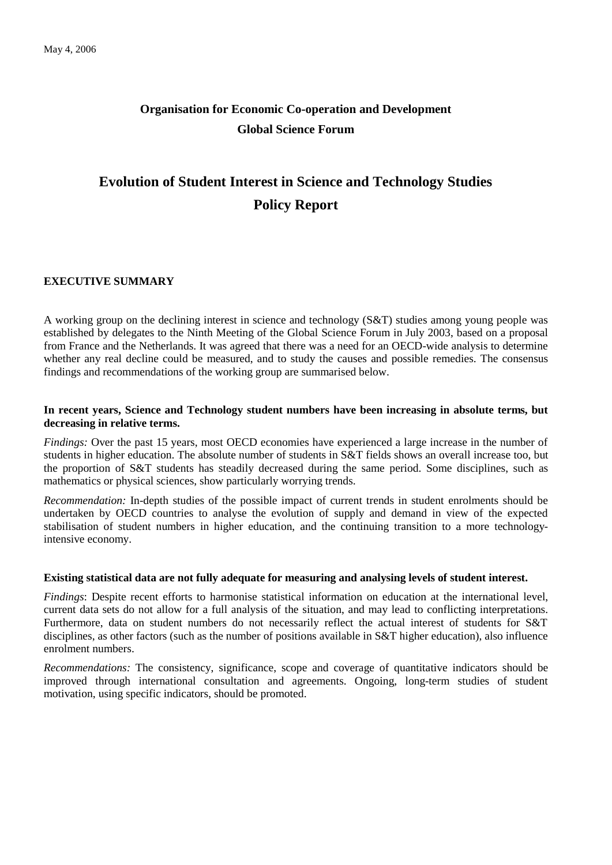## **Organisation for Economic Co-operation and Development Global Science Forum**

# **Evolution of Student Interest in Science and Technology Studies Policy Report**

## **EXECUTIVE SUMMARY**

A working group on the declining interest in science and technology (S&T) studies among young people was established by delegates to the Ninth Meeting of the Global Science Forum in July 2003, based on a proposal from France and the Netherlands. It was agreed that there was a need for an OECD-wide analysis to determine whether any real decline could be measured, and to study the causes and possible remedies. The consensus findings and recommendations of the working group are summarised below.

#### **In recent years, Science and Technology student numbers have been increasing in absolute terms, but decreasing in relative terms.**

*Findings:* Over the past 15 years, most OECD economies have experienced a large increase in the number of students in higher education. The absolute number of students in S&T fields shows an overall increase too, but the proportion of S&T students has steadily decreased during the same period. Some disciplines, such as mathematics or physical sciences, show particularly worrying trends.

*Recommendation:* In-depth studies of the possible impact of current trends in student enrolments should be undertaken by OECD countries to analyse the evolution of supply and demand in view of the expected stabilisation of student numbers in higher education, and the continuing transition to a more technologyintensive economy.

## **Existing statistical data are not fully adequate for measuring and analysing levels of student interest.**

*Findings*: Despite recent efforts to harmonise statistical information on education at the international level, current data sets do not allow for a full analysis of the situation, and may lead to conflicting interpretations. Furthermore, data on student numbers do not necessarily reflect the actual interest of students for S&T disciplines, as other factors (such as the number of positions available in S&T higher education), also influence enrolment numbers.

*Recommendations:* The consistency, significance, scope and coverage of quantitative indicators should be improved through international consultation and agreements. Ongoing, long-term studies of student motivation, using specific indicators, should be promoted.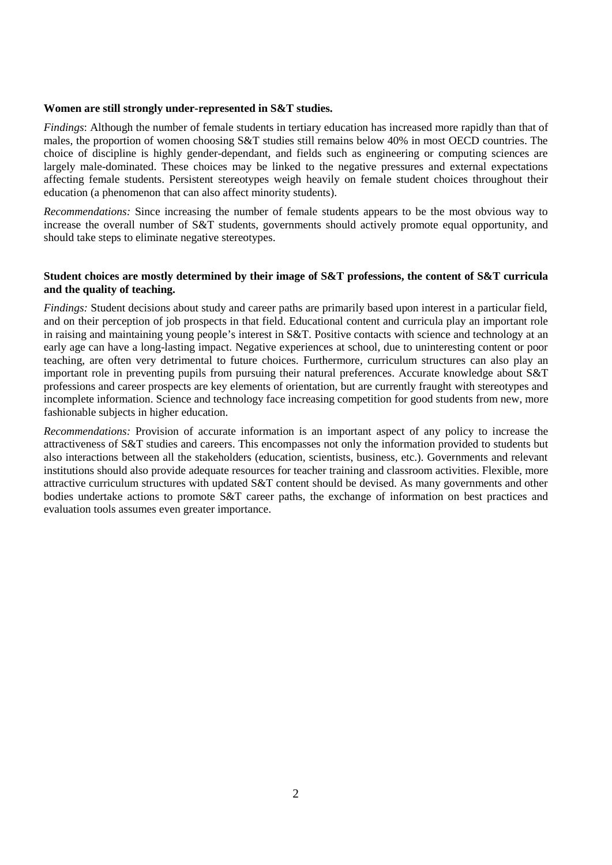#### **Women are still strongly under-represented in S&T studies.**

*Findings*: Although the number of female students in tertiary education has increased more rapidly than that of males, the proportion of women choosing S&T studies still remains below 40% in most OECD countries. The choice of discipline is highly gender-dependant, and fields such as engineering or computing sciences are largely male-dominated. These choices may be linked to the negative pressures and external expectations affecting female students. Persistent stereotypes weigh heavily on female student choices throughout their education (a phenomenon that can also affect minority students).

*Recommendations:* Since increasing the number of female students appears to be the most obvious way to increase the overall number of S&T students, governments should actively promote equal opportunity, and should take steps to eliminate negative stereotypes.

## **Student choices are mostly determined by their image of S&T professions, the content of S&T curricula and the quality of teaching.**

*Findings:* Student decisions about study and career paths are primarily based upon interest in a particular field, and on their perception of job prospects in that field. Educational content and curricula play an important role in raising and maintaining young people's interest in S&T. Positive contacts with science and technology at an early age can have a long-lasting impact. Negative experiences at school, due to uninteresting content or poor teaching, are often very detrimental to future choices. Furthermore, curriculum structures can also play an important role in preventing pupils from pursuing their natural preferences. Accurate knowledge about S&T professions and career prospects are key elements of orientation, but are currently fraught with stereotypes and incomplete information. Science and technology face increasing competition for good students from new, more fashionable subjects in higher education.

*Recommendations:* Provision of accurate information is an important aspect of any policy to increase the attractiveness of S&T studies and careers. This encompasses not only the information provided to students but also interactions between all the stakeholders (education, scientists, business, etc.). Governments and relevant institutions should also provide adequate resources for teacher training and classroom activities. Flexible, more attractive curriculum structures with updated S&T content should be devised. As many governments and other bodies undertake actions to promote S&T career paths, the exchange of information on best practices and evaluation tools assumes even greater importance.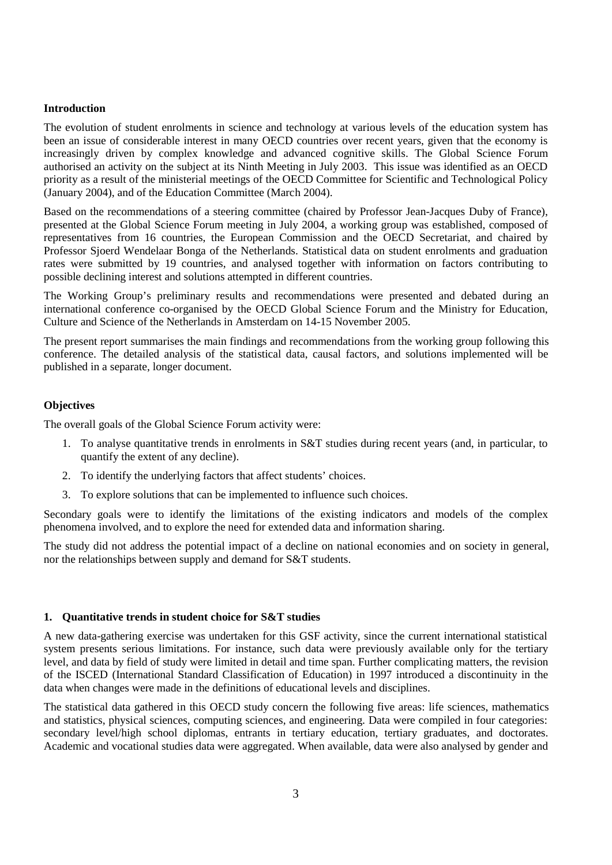## **Introduction**

The evolution of student enrolments in science and technology at various levels of the education system has been an issue of considerable interest in many OECD countries over recent years, given that the economy is increasingly driven by complex knowledge and advanced cognitive skills. The Global Science Forum authorised an activity on the subject at its Ninth Meeting in July 2003. This issue was identified as an OECD priority as a result of the ministerial meetings of the OECD Committee for Scientific and Technological Policy (January 2004), and of the Education Committee (March 2004).

Based on the recommendations of a steering committee (chaired by Professor Jean-Jacques Duby of France), presented at the Global Science Forum meeting in July 2004, a working group was established, composed of representatives from 16 countries, the European Commission and the OECD Secretariat, and chaired by Professor Sjoerd Wendelaar Bonga of the Netherlands. Statistical data on student enrolments and graduation rates were submitted by 19 countries, and analysed together with information on factors contributing to possible declining interest and solutions attempted in different countries.

The Working Group's preliminary results and recommendations were presented and debated during an international conference co-organised by the OECD Global Science Forum and the Ministry for Education, Culture and Science of the Netherlands in Amsterdam on 14-15 November 2005.

The present report summarises the main findings and recommendations from the working group following this conference. The detailed analysis of the statistical data, causal factors, and solutions implemented will be published in a separate, longer document.

#### **Objectives**

The overall goals of the Global Science Forum activity were:

- 1. To analyse quantitative trends in enrolments in S&T studies during recent years (and, in particular, to quantify the extent of any decline).
- 2. To identify the underlying factors that affect students' choices.
- 3. To explore solutions that can be implemented to influence such choices.

Secondary goals were to identify the limitations of the existing indicators and models of the complex phenomena involved, and to explore the need for extended data and information sharing.

The study did not address the potential impact of a decline on national economies and on society in general, nor the relationships between supply and demand for S&T students.

#### **1. Quantitative trends in student choice for S&T studies**

A new data-gathering exercise was undertaken for this GSF activity, since the current international statistical system presents serious limitations. For instance, such data were previously available only for the tertiary level, and data by field of study were limited in detail and time span. Further complicating matters, the revision of the ISCED (International Standard Classification of Education) in 1997 introduced a discontinuity in the data when changes were made in the definitions of educational levels and disciplines.

The statistical data gathered in this OECD study concern the following five areas: life sciences, mathematics and statistics, physical sciences, computing sciences, and engineering. Data were compiled in four categories: secondary level/high school diplomas, entrants in tertiary education, tertiary graduates, and doctorates. Academic and vocational studies data were aggregated. When available, data were also analysed by gender and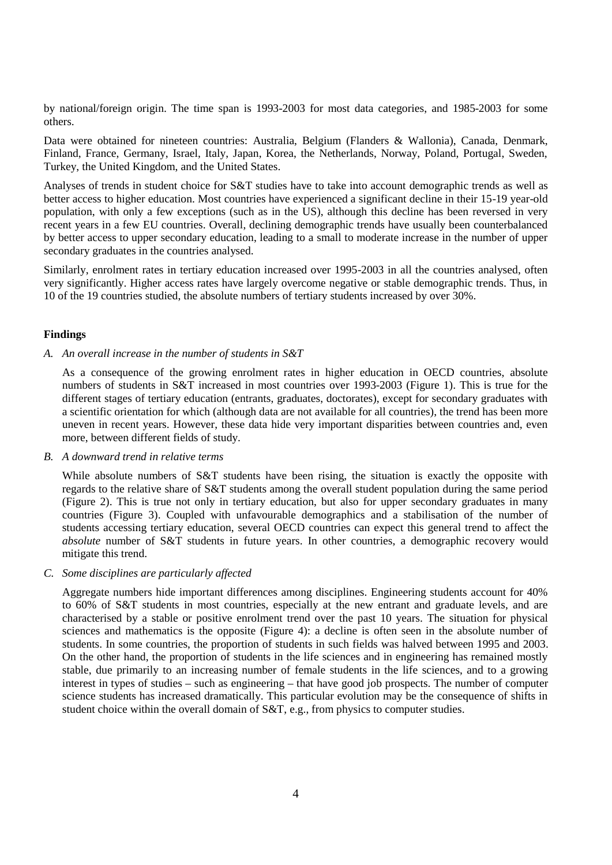by national/foreign origin. The time span is 1993-2003 for most data categories, and 1985-2003 for some others.

Data were obtained for nineteen countries: Australia, Belgium (Flanders & Wallonia), Canada, Denmark, Finland, France, Germany, Israel, Italy, Japan, Korea, the Netherlands, Norway, Poland, Portugal, Sweden, Turkey, the United Kingdom, and the United States.

Analyses of trends in student choice for S&T studies have to take into account demographic trends as well as better access to higher education. Most countries have experienced a significant decline in their 15-19 year-old population, with only a few exceptions (such as in the US), although this decline has been reversed in very recent years in a few EU countries. Overall, declining demographic trends have usually been counterbalanced by better access to upper secondary education, leading to a small to moderate increase in the number of upper secondary graduates in the countries analysed.

Similarly, enrolment rates in tertiary education increased over 1995-2003 in all the countries analysed, often very significantly. Higher access rates have largely overcome negative or stable demographic trends. Thus, in 10 of the 19 countries studied, the absolute numbers of tertiary students increased by over 30%.

#### **Findings**

#### *A. An overall increase in the number of students in S&T*

As a consequence of the growing enrolment rates in higher education in OECD countries, absolute numbers of students in S&T increased in most countries over 1993-2003 (Figure 1). This is true for the different stages of tertiary education (entrants, graduates, doctorates), except for secondary graduates with a scientific orientation for which (although data are not available for all countries), the trend has been more uneven in recent years. However, these data hide very important disparities between countries and, even more, between different fields of study.

## *B. A downward trend in relative terms*

While absolute numbers of S&T students have been rising, the situation is exactly the opposite with regards to the relative share of S&T students among the overall student population during the same period (Figure 2). This is true not only in tertiary education, but also for upper secondary graduates in many countries (Figure 3). Coupled with unfavourable demographics and a stabilisation of the number of students accessing tertiary education, several OECD countries can expect this general trend to affect the *absolute* number of S&T students in future years. In other countries, a demographic recovery would mitigate this trend.

#### *C. Some disciplines are particularly affected*

Aggregate numbers hide important differences among disciplines. Engineering students account for 40% to 60% of S&T students in most countries, especially at the new entrant and graduate levels, and are characterised by a stable or positive enrolment trend over the past 10 years. The situation for physical sciences and mathematics is the opposite (Figure 4): a decline is often seen in the absolute number of students. In some countries, the proportion of students in such fields was halved between 1995 and 2003. On the other hand, the proportion of students in the life sciences and in engineering has remained mostly stable, due primarily to an increasing number of female students in the life sciences, and to a growing interest in types of studies – such as engineering – that have good job prospects. The number of computer science students has increased dramatically. This particular evolution may be the consequence of shifts in student choice within the overall domain of S&T, e.g., from physics to computer studies.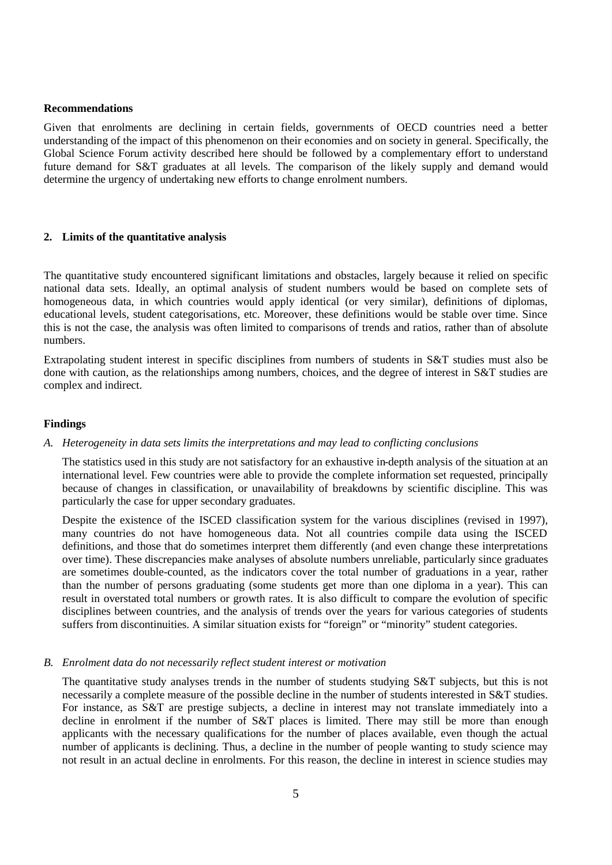#### **Recommendations**

Given that enrolments are declining in certain fields, governments of OECD countries need a better understanding of the impact of this phenomenon on their economies and on society in general. Specifically, the Global Science Forum activity described here should be followed by a complementary effort to understand future demand for S&T graduates at all levels. The comparison of the likely supply and demand would determine the urgency of undertaking new efforts to change enrolment numbers.

#### **2. Limits of the quantitative analysis**

The quantitative study encountered significant limitations and obstacles, largely because it relied on specific national data sets. Ideally, an optimal analysis of student numbers would be based on complete sets of homogeneous data, in which countries would apply identical (or very similar), definitions of diplomas, educational levels, student categorisations, etc. Moreover, these definitions would be stable over time. Since this is not the case, the analysis was often limited to comparisons of trends and ratios, rather than of absolute numbers.

Extrapolating student interest in specific disciplines from numbers of students in S&T studies must also be done with caution, as the relationships among numbers, choices, and the degree of interest in S&T studies are complex and indirect.

#### **Findings**

#### *A. Heterogeneity in data sets limits the interpretations and may lead to conflicting conclusions*

The statistics used in this study are not satisfactory for an exhaustive in-depth analysis of the situation at an international level. Few countries were able to provide the complete information set requested, principally because of changes in classification, or unavailability of breakdowns by scientific discipline. This was particularly the case for upper secondary graduates.

Despite the existence of the ISCED classification system for the various disciplines (revised in 1997), many countries do not have homogeneous data. Not all countries compile data using the ISCED definitions, and those that do sometimes interpret them differently (and even change these interpretations over time). These discrepancies make analyses of absolute numbers unreliable, particularly since graduates are sometimes double-counted, as the indicators cover the total number of graduations in a year, rather than the number of persons graduating (some students get more than one diploma in a year). This can result in overstated total numbers or growth rates. It is also difficult to compare the evolution of specific disciplines between countries, and the analysis of trends over the years for various categories of students suffers from discontinuities. A similar situation exists for "foreign" or "minority" student categories.

#### *B. Enrolment data do not necessarily reflect student interest or motivation*

The quantitative study analyses trends in the number of students studying S&T subjects, but this is not necessarily a complete measure of the possible decline in the number of students interested in S&T studies. For instance, as S&T are prestige subjects, a decline in interest may not translate immediately into a decline in enrolment if the number of S&T places is limited. There may still be more than enough applicants with the necessary qualifications for the number of places available, even though the actual number of applicants is declining. Thus, a decline in the number of people wanting to study science may not result in an actual decline in enrolments. For this reason, the decline in interest in science studies may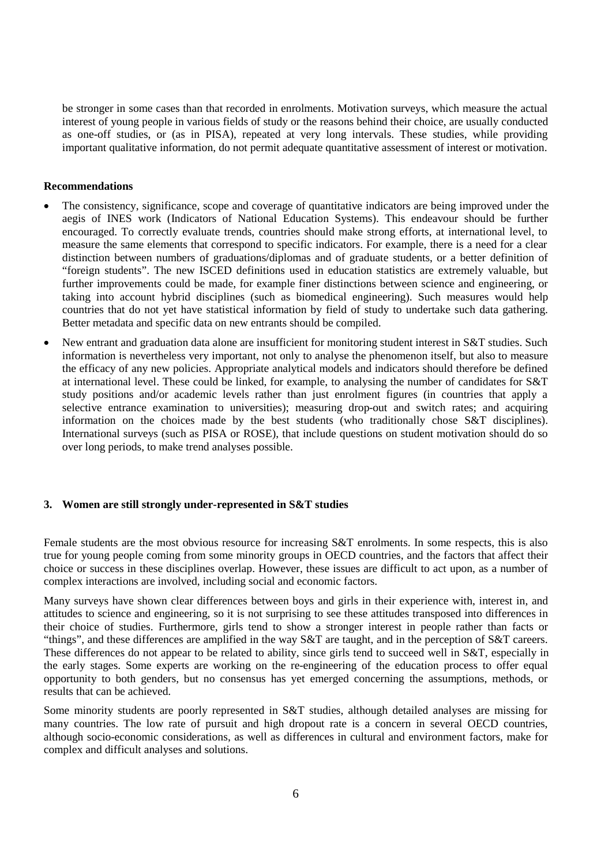be stronger in some cases than that recorded in enrolments. Motivation surveys, which measure the actual interest of young people in various fields of study or the reasons behind their choice, are usually conducted as one-off studies, or (as in PISA), repeated at very long intervals. These studies, while providing important qualitative information, do not permit adequate quantitative assessment of interest or motivation.

#### **Recommendations**

- The consistency, significance, scope and coverage of quantitative indicators are being improved under the aegis of INES work (Indicators of National Education Systems). This endeavour should be further encouraged. To correctly evaluate trends, countries should make strong efforts, at international level, to measure the same elements that correspond to specific indicators. For example, there is a need for a clear distinction between numbers of graduations/diplomas and of graduate students, or a better definition of "foreign students". The new ISCED definitions used in education statistics are extremely valuable, but further improvements could be made, for example finer distinctions between science and engineering, or taking into account hybrid disciplines (such as biomedical engineering). Such measures would help countries that do not yet have statistical information by field of study to undertake such data gathering. Better metadata and specific data on new entrants should be compiled.
- New entrant and graduation data alone are insufficient for monitoring student interest in S&T studies. Such information is nevertheless very important, not only to analyse the phenomenon itself, but also to measure the efficacy of any new policies. Appropriate analytical models and indicators should therefore be defined at international level. These could be linked, for example, to analysing the number of candidates for S&T study positions and/or academic levels rather than just enrolment figures (in countries that apply a selective entrance examination to universities); measuring drop-out and switch rates; and acquiring information on the choices made by the best students (who traditionally chose S&T disciplines). International surveys (such as PISA or ROSE), that include questions on student motivation should do so over long periods, to make trend analyses possible.

## **3. Women are still strongly under-represented in S&T studies**

Female students are the most obvious resource for increasing S&T enrolments. In some respects, this is also true for young people coming from some minority groups in OECD countries, and the factors that affect their choice or success in these disciplines overlap. However, these issues are difficult to act upon, as a number of complex interactions are involved, including social and economic factors.

Many surveys have shown clear differences between boys and girls in their experience with, interest in, and attitudes to science and engineering, so it is not surprising to see these attitudes transposed into differences in their choice of studies. Furthermore, girls tend to show a stronger interest in people rather than facts or "things", and these differences are amplified in the way S&T are taught, and in the perception of S&T careers. These differences do not appear to be related to ability, since girls tend to succeed well in S&T, especially in the early stages. Some experts are working on the re-engineering of the education process to offer equal opportunity to both genders, but no consensus has yet emerged concerning the assumptions, methods, or results that can be achieved.

Some minority students are poorly represented in S&T studies, although detailed analyses are missing for many countries. The low rate of pursuit and high dropout rate is a concern in several OECD countries, although socio-economic considerations, as well as differences in cultural and environment factors, make for complex and difficult analyses and solutions.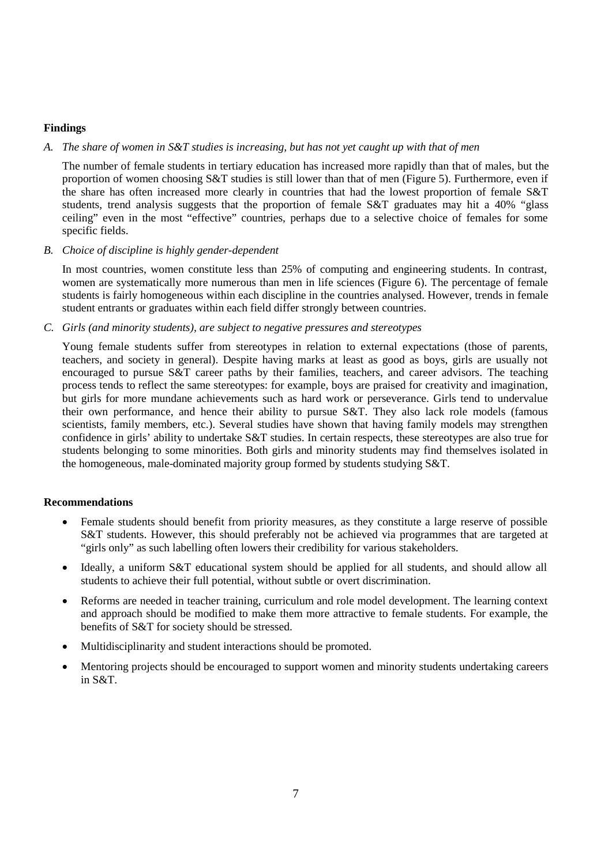## **Findings**

## *A. The share of women in S&T studies is increasing, but has not yet caught up with that of men*

The number of female students in tertiary education has increased more rapidly than that of males, but the proportion of women choosing S&T studies is still lower than that of men (Figure 5). Furthermore, even if the share has often increased more clearly in countries that had the lowest proportion of female S&T students, trend analysis suggests that the proportion of female S&T graduates may hit a 40% "glass ceiling" even in the most "effective" countries, perhaps due to a selective choice of females for some specific fields.

## *B. Choice of discipline is highly gender-dependent*

In most countries, women constitute less than 25% of computing and engineering students. In contrast, women are systematically more numerous than men in life sciences (Figure 6). The percentage of female students is fairly homogeneous within each discipline in the countries analysed. However, trends in female student entrants or graduates within each field differ strongly between countries.

*C. Girls (and minority students), are subject to negative pressures and stereotypes*

Young female students suffer from stereotypes in relation to external expectations (those of parents, teachers, and society in general). Despite having marks at least as good as boys, girls are usually not encouraged to pursue S&T career paths by their families, teachers, and career advisors. The teaching process tends to reflect the same stereotypes: for example, boys are praised for creativity and imagination, but girls for more mundane achievements such as hard work or perseverance. Girls tend to undervalue their own performance, and hence their ability to pursue S&T. They also lack role models (famous scientists, family members, etc.). Several studies have shown that having family models may strengthen confidence in girls' ability to undertake S&T studies. In certain respects, these stereotypes are also true for students belonging to some minorities. Both girls and minority students may find themselves isolated in the homogeneous, male-dominated majority group formed by students studying S&T.

## **Recommendations**

- Female students should benefit from priority measures, as they constitute a large reserve of possible S&T students. However, this should preferably not be achieved via programmes that are targeted at "girls only" as such labelling often lowers their credibility for various stakeholders.
- Ideally, a uniform S&T educational system should be applied for all students, and should allow all students to achieve their full potential, without subtle or overt discrimination.
- Reforms are needed in teacher training, curriculum and role model development. The learning context and approach should be modified to make them more attractive to female students. For example, the benefits of S&T for society should be stressed.
- Multidisciplinarity and student interactions should be promoted.
- Mentoring projects should be encouraged to support women and minority students undertaking careers in S&T.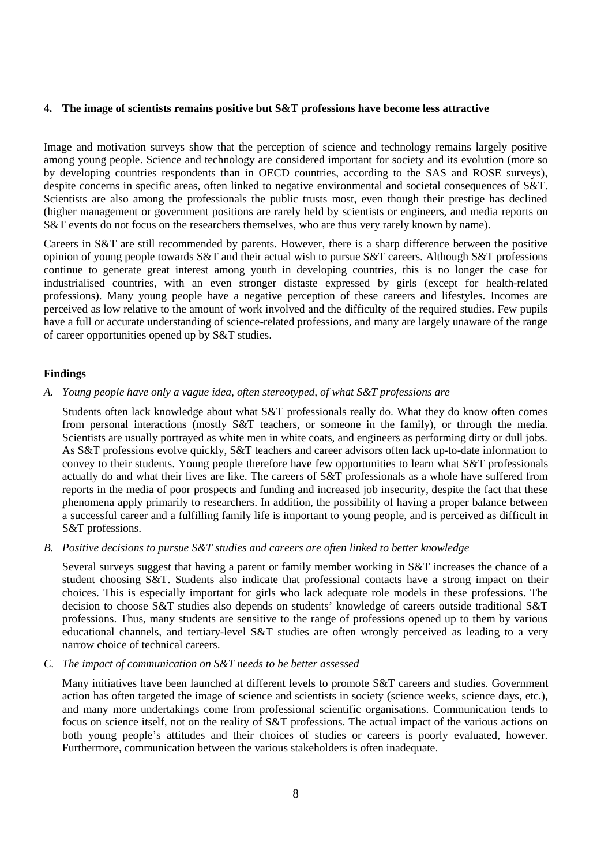#### **4. The image of scientists remains positive but S&T professions have become less attractive**

Image and motivation surveys show that the perception of science and technology remains largely positive among young people. Science and technology are considered important for society and its evolution (more so by developing countries respondents than in OECD countries, according to the SAS and ROSE surveys), despite concerns in specific areas, often linked to negative environmental and societal consequences of S&T. Scientists are also among the professionals the public trusts most, even though their prestige has declined (higher management or government positions are rarely held by scientists or engineers, and media reports on S&T events do not focus on the researchers themselves, who are thus very rarely known by name).

Careers in S&T are still recommended by parents. However, there is a sharp difference between the positive opinion of young people towards S&T and their actual wish to pursue S&T careers. Although S&T professions continue to generate great interest among youth in developing countries, this is no longer the case for industrialised countries, with an even stronger distaste expressed by girls (except for health-related professions). Many young people have a negative perception of these careers and lifestyles. Incomes are perceived as low relative to the amount of work involved and the difficulty of the required studies. Few pupils have a full or accurate understanding of science-related professions, and many are largely unaware of the range of career opportunities opened up by S&T studies.

#### **Findings**

*A. Young people have only a vague idea, often stereotyped, of what S&T professions are*

Students often lack knowledge about what S&T professionals really do. What they do know often comes from personal interactions (mostly S&T teachers, or someone in the family), or through the media. Scientists are usually portrayed as white men in white coats, and engineers as performing dirty or dull jobs. As S&T professions evolve quickly, S&T teachers and career advisors often lack up-to-date information to convey to their students. Young people therefore have few opportunities to learn what S&T professionals actually do and what their lives are like. The careers of S&T professionals as a whole have suffered from reports in the media of poor prospects and funding and increased job insecurity, despite the fact that these phenomena apply primarily to researchers. In addition, the possibility of having a proper balance between a successful career and a fulfilling family life is important to young people, and is perceived as difficult in S&T professions.

#### *B. Positive decisions to pursue S&T studies and careers are often linked to better knowledge*

Several surveys suggest that having a parent or family member working in S&T increases the chance of a student choosing S&T. Students also indicate that professional contacts have a strong impact on their choices. This is especially important for girls who lack adequate role models in these professions. The decision to choose S&T studies also depends on students' knowledge of careers outside traditional S&T professions. Thus, many students are sensitive to the range of professions opened up to them by various educational channels, and tertiary-level S&T studies are often wrongly perceived as leading to a very narrow choice of technical careers.

*C. The impact of communication on S&T needs to be better assessed* 

Many initiatives have been launched at different levels to promote S&T careers and studies. Government action has often targeted the image of science and scientists in society (science weeks, science days, etc.), and many more undertakings come from professional scientific organisations. Communication tends to focus on science itself, not on the reality of S&T professions. The actual impact of the various actions on both young people's attitudes and their choices of studies or careers is poorly evaluated, however. Furthermore, communication between the various stakeholders is often inadequate.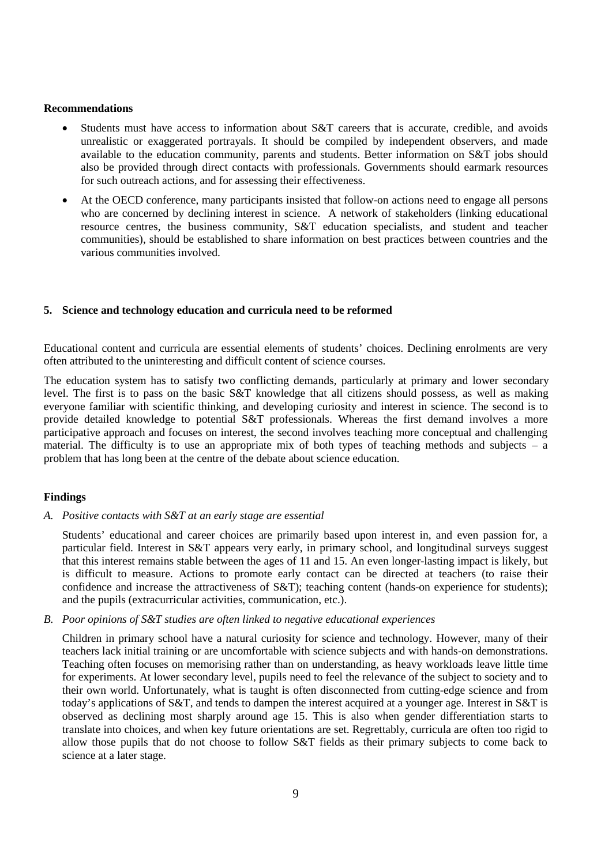#### **Recommendations**

- Students must have access to information about S&T careers that is accurate, credible, and avoids unrealistic or exaggerated portrayals. It should be compiled by independent observers, and made available to the education community, parents and students. Better information on S&T jobs should also be provided through direct contacts with professionals. Governments should earmark resources for such outreach actions, and for assessing their effectiveness.
- At the OECD conference, many participants insisted that follow-on actions need to engage all persons who are concerned by declining interest in science. A network of stakeholders (linking educational resource centres, the business community, S&T education specialists, and student and teacher communities), should be established to share information on best practices between countries and the various communities involved.

#### **5. Science and technology education and curricula need to be reformed**

Educational content and curricula are essential elements of students' choices. Declining enrolments are very often attributed to the uninteresting and difficult content of science courses.

The education system has to satisfy two conflicting demands, particularly at primary and lower secondary level. The first is to pass on the basic S&T knowledge that all citizens should possess, as well as making everyone familiar with scientific thinking, and developing curiosity and interest in science. The second is to provide detailed knowledge to potential S&T professionals. Whereas the first demand involves a more participative approach and focuses on interest, the second involves teaching more conceptual and challenging material. The difficulty is to use an appropriate mix of both types of teaching methods and subjects  $-$  a problem that has long been at the centre of the debate about science education.

#### **Findings**

#### *A. Positive contacts with S&T at an early stage are essential*

Students' educational and career choices are primarily based upon interest in, and even passion for, a particular field. Interest in S&T appears very early, in primary school, and longitudinal surveys suggest that this interest remains stable between the ages of 11 and 15. An even longer-lasting impact is likely, but is difficult to measure. Actions to promote early contact can be directed at teachers (to raise their confidence and increase the attractiveness of S&T); teaching content (hands-on experience for students); and the pupils (extracurricular activities, communication, etc.).

#### *B. Poor opinions of S&T studies are often linked to negative educational experiences*

Children in primary school have a natural curiosity for science and technology. However, many of their teachers lack initial training or are uncomfortable with science subjects and with hands-on demonstrations. Teaching often focuses on memorising rather than on understanding, as heavy workloads leave little time for experiments. At lower secondary level, pupils need to feel the relevance of the subject to society and to their own world. Unfortunately, what is taught is often disconnected from cutting-edge science and from today's applications of S&T, and tends to dampen the interest acquired at a younger age. Interest in S&T is observed as declining most sharply around age 15. This is also when gender differentiation starts to translate into choices, and when key future orientations are set. Regrettably, curricula are often too rigid to allow those pupils that do not choose to follow S&T fields as their primary subjects to come back to science at a later stage.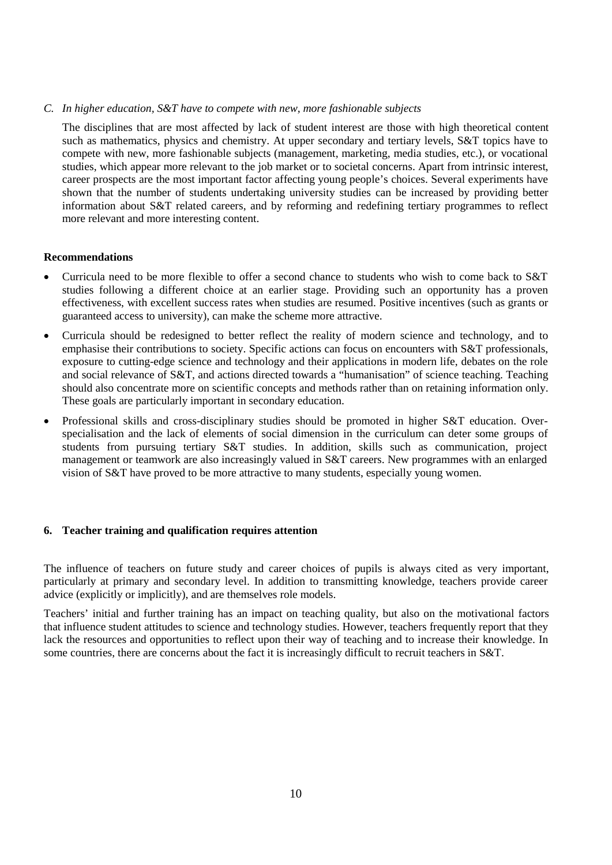#### *C. In higher education, S&T have to compete with new, more fashionable subjects*

The disciplines that are most affected by lack of student interest are those with high theoretical content such as mathematics, physics and chemistry. At upper secondary and tertiary levels, S&T topics have to compete with new, more fashionable subjects (management, marketing, media studies, etc.), or vocational studies, which appear more relevant to the job market or to societal concerns. Apart from intrinsic interest, career prospects are the most important factor affecting young people's choices. Several experiments have shown that the number of students undertaking university studies can be increased by providing better information about S&T related careers, and by reforming and redefining tertiary programmes to reflect more relevant and more interesting content.

#### **Recommendations**

- Curricula need to be more flexible to offer a second chance to students who wish to come back to S&T studies following a different choice at an earlier stage. Providing such an opportunity has a proven effectiveness, with excellent success rates when studies are resumed. Positive incentives (such as grants or guaranteed access to university), can make the scheme more attractive.
- Curricula should be redesigned to better reflect the reality of modern science and technology, and to emphasise their contributions to society. Specific actions can focus on encounters with S&T professionals, exposure to cutting-edge science and technology and their applications in modern life, debates on the role and social relevance of S&T, and actions directed towards a "humanisation" of science teaching. Teaching should also concentrate more on scientific concepts and methods rather than on retaining information only. These goals are particularly important in secondary education.
- Professional skills and cross-disciplinary studies should be promoted in higher S&T education. Overspecialisation and the lack of elements of social dimension in the curriculum can deter some groups of students from pursuing tertiary S&T studies. In addition, skills such as communication, project management or teamwork are also increasingly valued in S&T careers. New programmes with an enlarged vision of S&T have proved to be more attractive to many students, especially young women.

#### **6. Teacher training and qualification requires attention**

The influence of teachers on future study and career choices of pupils is always cited as very important, particularly at primary and secondary level. In addition to transmitting knowledge, teachers provide career advice (explicitly or implicitly), and are themselves role models.

Teachers' initial and further training has an impact on teaching quality, but also on the motivational factors that influence student attitudes to science and technology studies. However, teachers frequently report that they lack the resources and opportunities to reflect upon their way of teaching and to increase their knowledge. In some countries, there are concerns about the fact it is increasingly difficult to recruit teachers in S&T.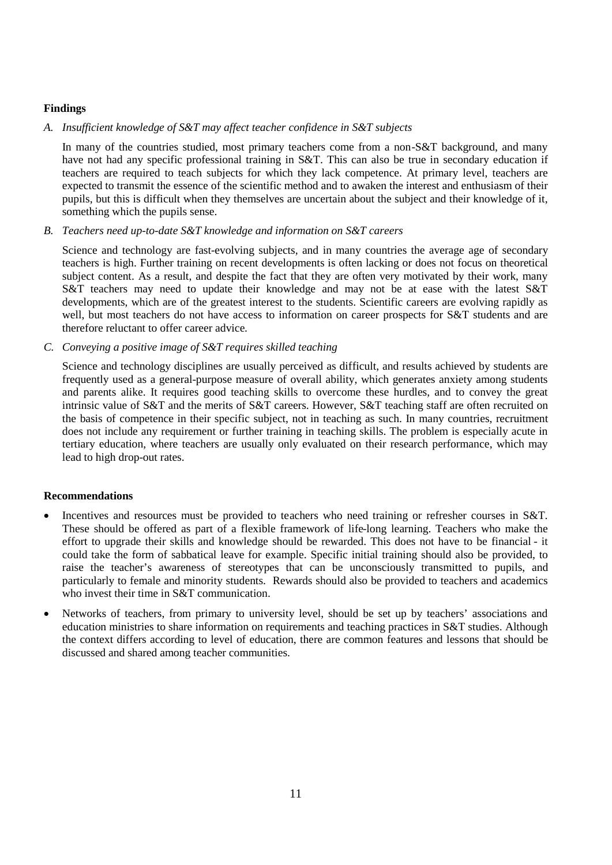## **Findings**

## *A. Insufficient knowledge of S&T may affect teacher confidence in S&T subjects*

In many of the countries studied, most primary teachers come from a non-S&T background, and many have not had any specific professional training in S&T. This can also be true in secondary education if teachers are required to teach subjects for which they lack competence. At primary level, teachers are expected to transmit the essence of the scientific method and to awaken the interest and enthusiasm of their pupils, but this is difficult when they themselves are uncertain about the subject and their knowledge of it, something which the pupils sense.

## *B. Teachers need up-to-date S&T knowledge and information on S&T careers*

Science and technology are fast-evolving subjects, and in many countries the average age of secondary teachers is high. Further training on recent developments is often lacking or does not focus on theoretical subject content. As a result, and despite the fact that they are often very motivated by their work, many S&T teachers may need to update their knowledge and may not be at ease with the latest S&T developments, which are of the greatest interest to the students. Scientific careers are evolving rapidly as well, but most teachers do not have access to information on career prospects for S&T students and are therefore reluctant to offer career advice.

## *C. Conveying a positive image of S&T requires skilled teaching*

Science and technology disciplines are usually perceived as difficult, and results achieved by students are frequently used as a general-purpose measure of overall ability, which generates anxiety among students and parents alike. It requires good teaching skills to overcome these hurdles, and to convey the great intrinsic value of S&T and the merits of S&T careers. However, S&T teaching staff are often recruited on the basis of competence in their specific subject, not in teaching as such. In many countries, recruitment does not include any requirement or further training in teaching skills. The problem is especially acute in tertiary education, where teachers are usually only evaluated on their research performance, which may lead to high drop-out rates.

## **Recommendations**

- Incentives and resources must be provided to teachers who need training or refresher courses in S&T. These should be offered as part of a flexible framework of life-long learning. Teachers who make the effort to upgrade their skills and knowledge should be rewarded. This does not have to be financial - it could take the form of sabbatical leave for example. Specific initial training should also be provided, to raise the teacher's awareness of stereotypes that can be unconsciously transmitted to pupils, and particularly to female and minority students. Rewards should also be provided to teachers and academics who invest their time in S&T communication.
- Networks of teachers, from primary to university level, should be set up by teachers' associations and education ministries to share information on requirements and teaching practices in S&T studies. Although the context differs according to level of education, there are common features and lessons that should be discussed and shared among teacher communities.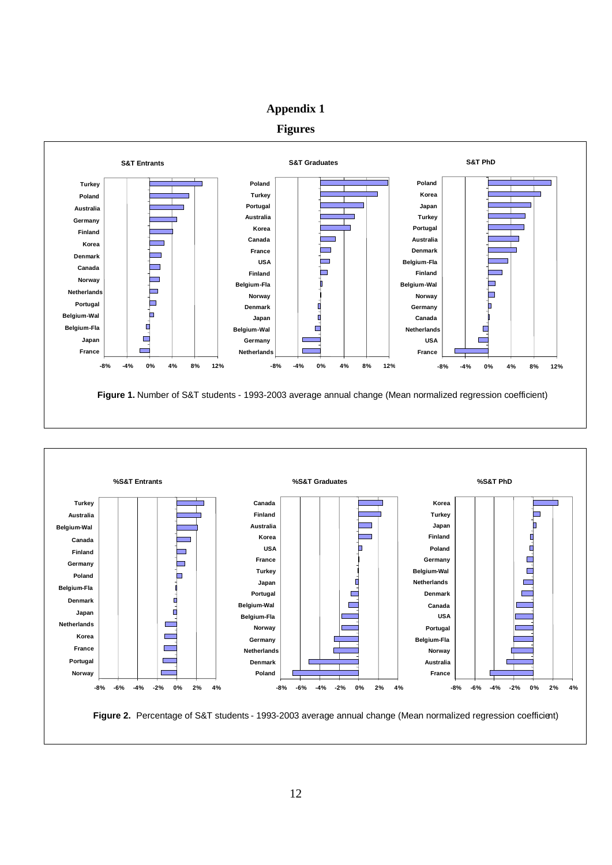





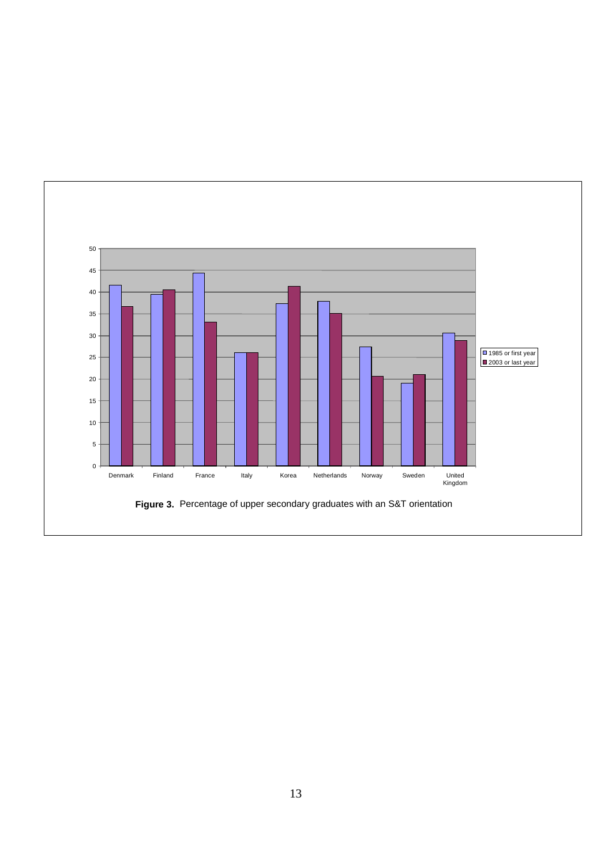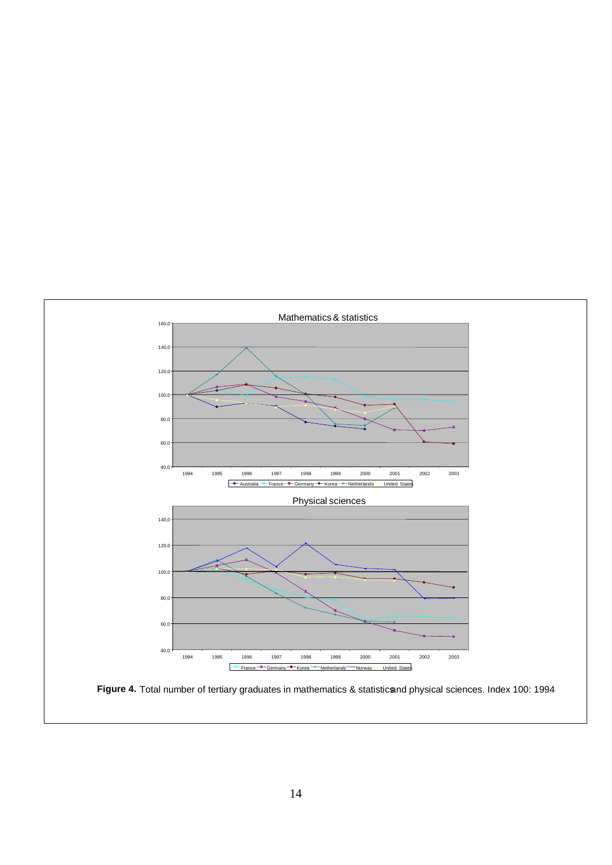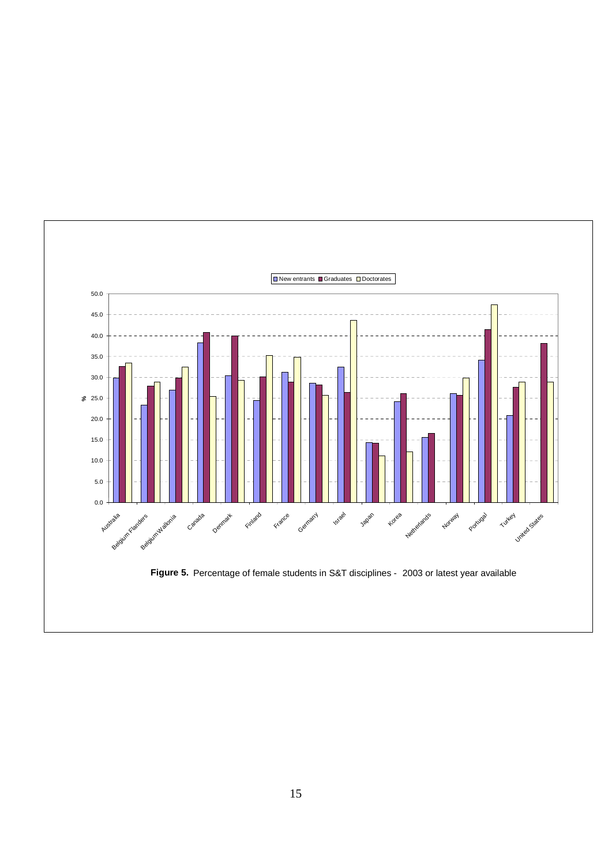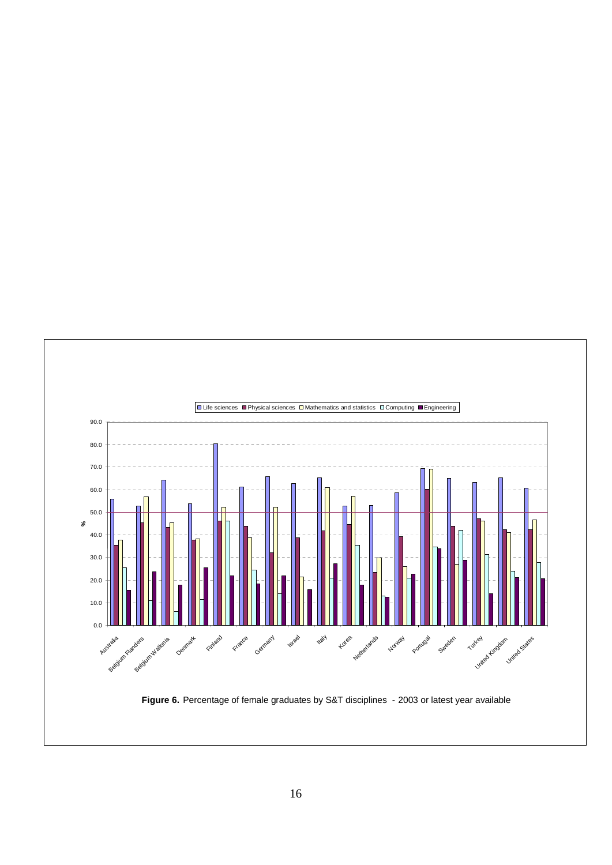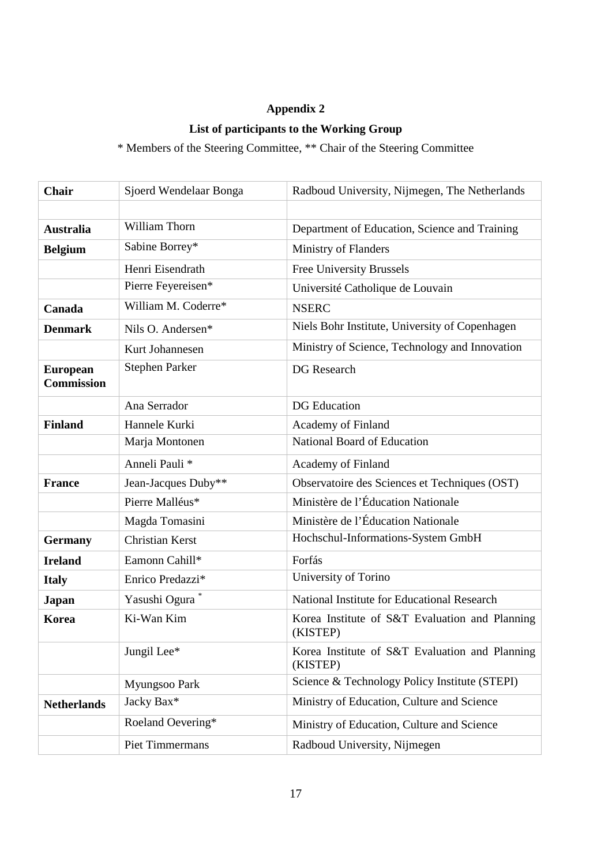## **Appendix 2**

## **List of participants to the Working Group**

\* Members of the Steering Committee, \*\* Chair of the Steering Committee

| <b>Chair</b>                         | Sjoerd Wendelaar Bonga    | Radboud University, Nijmegen, The Netherlands              |
|--------------------------------------|---------------------------|------------------------------------------------------------|
|                                      |                           |                                                            |
| <b>Australia</b>                     | William Thorn             | Department of Education, Science and Training              |
| <b>Belgium</b>                       | Sabine Borrey*            | Ministry of Flanders                                       |
|                                      | Henri Eisendrath          | Free University Brussels                                   |
|                                      | Pierre Feyereisen*        | Université Catholique de Louvain                           |
| Canada                               | William M. Coderre*       | <b>NSERC</b>                                               |
| <b>Denmark</b>                       | Nils O. Andersen*         | Niels Bohr Institute, University of Copenhagen             |
|                                      | Kurt Johannesen           | Ministry of Science, Technology and Innovation             |
| <b>European</b><br><b>Commission</b> | <b>Stephen Parker</b>     | <b>DG</b> Research                                         |
|                                      | Ana Serrador              | <b>DG</b> Education                                        |
| <b>Finland</b>                       | Hannele Kurki             | Academy of Finland                                         |
|                                      | Marja Montonen            | National Board of Education                                |
|                                      | Anneli Pauli <sup>*</sup> | Academy of Finland                                         |
| <b>France</b>                        | Jean-Jacques Duby**       | Observatoire des Sciences et Techniques (OST)              |
|                                      | Pierre Malléus*           | Ministère de l'Éducation Nationale                         |
|                                      | Magda Tomasini            | Ministère de l'Éducation Nationale                         |
| <b>Germany</b>                       | <b>Christian Kerst</b>    | Hochschul-Informations-System GmbH                         |
| <b>Ireland</b>                       | Eamonn Cahill*            | Forfás                                                     |
| <b>Italy</b>                         | Enrico Predazzi*          | University of Torino                                       |
| Japan                                | Yasushi $\rm Ogura$ $^*$  | National Institute for Educational Research                |
| <b>Korea</b>                         | Ki-Wan Kim                | Korea Institute of S&T Evaluation and Planning<br>(KISTEP) |
|                                      | Jungil Lee*               | Korea Institute of S&T Evaluation and Planning<br>(KISTEP) |
|                                      | Myungsoo Park             | Science & Technology Policy Institute (STEPI)              |
| <b>Netherlands</b>                   | Jacky Bax*                | Ministry of Education, Culture and Science                 |
|                                      | Roeland Oevering*         | Ministry of Education, Culture and Science                 |
|                                      | Piet Timmermans           | Radboud University, Nijmegen                               |